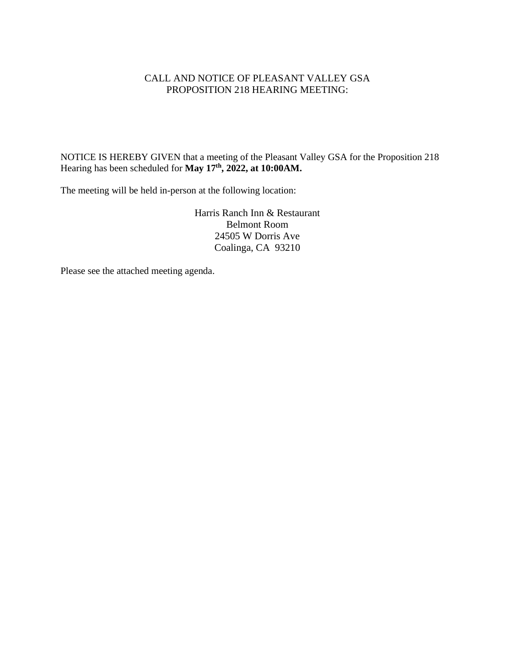### CALL AND NOTICE OF PLEASANT VALLEY GSA PROPOSITION 218 HEARING MEETING:

NOTICE IS HEREBY GIVEN that a meeting of the Pleasant Valley GSA for the Proposition 218 Hearing has been scheduled for **May 17 th , 2022, at 10:00AM.**

The meeting will be held in-person at the following location:

Harris Ranch Inn & Restaurant Belmont Room 24505 W Dorris Ave Coalinga, CA 93210

Please see the attached meeting agenda.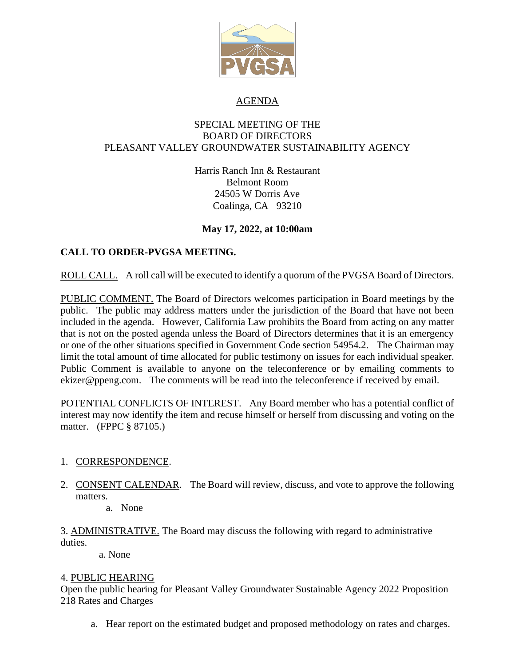

### AGENDA

#### SPECIAL MEETING OF THE BOARD OF DIRECTORS PLEASANT VALLEY GROUNDWATER SUSTAINABILITY AGENCY

Harris Ranch Inn & Restaurant Belmont Room 24505 W Dorris Ave Coalinga, CA 93210

## **May 17, 2022, at 10:00am**

# **CALL TO ORDER-PVGSA MEETING.**

ROLL CALL. A roll call will be executed to identify a quorum of the PVGSA Board of Directors.

PUBLIC COMMENT. The Board of Directors welcomes participation in Board meetings by the public. The public may address matters under the jurisdiction of the Board that have not been included in the agenda. However, California Law prohibits the Board from acting on any matter that is not on the posted agenda unless the Board of Directors determines that it is an emergency or one of the other situations specified in Government Code section 54954.2. The Chairman may limit the total amount of time allocated for public testimony on issues for each individual speaker. Public Comment is available to anyone on the teleconference or by emailing comments to ekizer@ppeng.com. The comments will be read into the teleconference if received by email.

POTENTIAL CONFLICTS OF INTEREST. Any Board member who has a potential conflict of interest may now identify the item and recuse himself or herself from discussing and voting on the matter. (FPPC § 87105.)

## 1. CORRESPONDENCE.

2. CONSENT CALENDAR. The Board will review, discuss, and vote to approve the following matters.

a. None

3. ADMINISTRATIVE. The Board may discuss the following with regard to administrative duties.

a. None

## 4. PUBLIC HEARING

Open the public hearing for Pleasant Valley Groundwater Sustainable Agency 2022 Proposition 218 Rates and Charges

a. Hear report on the estimated budget and proposed methodology on rates and charges.